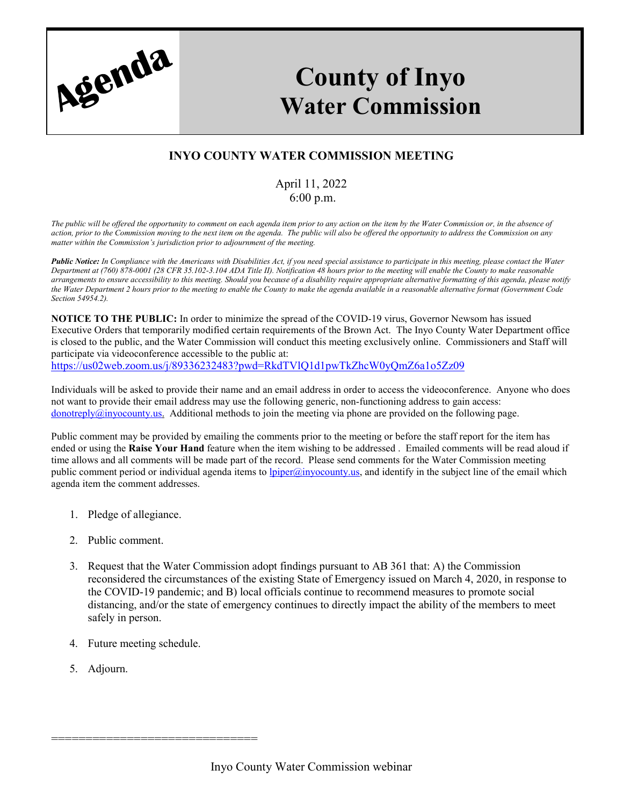

## **County of Inyo Water Commission**

## **INYO COUNTY WATER COMMISSION MEETING**

## April 11, 2022 6:00 p.m.

*The public will be offered the opportunity to comment on each agenda item prior to any action on the item by the Water Commission or, in the absence of action, prior to the Commission moving to the next item on the agenda. The public will also be offered the opportunity to address the Commission on any matter within the Commission's jurisdiction prior to adjournment of the meeting.*

*Public Notice: In Compliance with the Americans with Disabilities Act, if you need special assistance to participate in this meeting, please contact the Water Department at (760) 878-0001 (28 CFR 35.102-3.104 ADA Title II). Notification 48 hours prior to the meeting will enable the County to make reasonable arrangements to ensure accessibility to this meeting. Should you because of a disability require appropriate alternative formatting of this agenda, please notify the Water Department 2 hours prior to the meeting to enable the County to make the agenda available in a reasonable alternative format (Government Code Section 54954.2).*

**NOTICE TO THE PUBLIC:** In order to minimize the spread of the COVID-19 virus, Governor Newsom has issued Executive Orders that temporarily modified certain requirements of the Brown Act. The Inyo County Water Department office is closed to the public, and the Water Commission will conduct this meeting exclusively online. Commissioners and Staff will participate via videoconference accessible to the public at: <https://us02web.zoom.us/j/89336232483?pwd=RkdTVlQ1d1pwTkZhcW0yQmZ6a1o5Zz09>

Individuals will be asked to provide their name and an email address in order to access the videoconference. Anyone who does not want to provide their email address may use the following generic, non-functioning address to gain access:  $\frac{\text{donotreply@invocounty.us.}}{\text{Additional methods to join the meeting via phone are provided on the following page.}$ 

Public comment may be provided by emailing the comments prior to the meeting or before the staff report for the item has ended or using the **Raise Your Hand** feature when the item wishing to be addressed . Emailed comments will be read aloud if time allows and all comments will be made part of the record. Please send comments for the Water Commission meeting public comment period or individual agenda items to [lpiper@inyocounty.us,](mailto:lpiper@inyocounty.us) and identify in the subject line of the email which agenda item the comment addresses.

- 1. Pledge of allegiance.
- 2. Public comment.
- 3. Request that the Water Commission adopt findings pursuant to AB 361 that: A) the Commission reconsidered the circumstances of the existing State of Emergency issued on March 4, 2020, in response to the COVID-19 pandemic; and B) local officials continue to recommend measures to promote social distancing, and/or the state of emergency continues to directly impact the ability of the members to meet safely in person.
- 4. Future meeting schedule.

==============================

5. Adjourn.